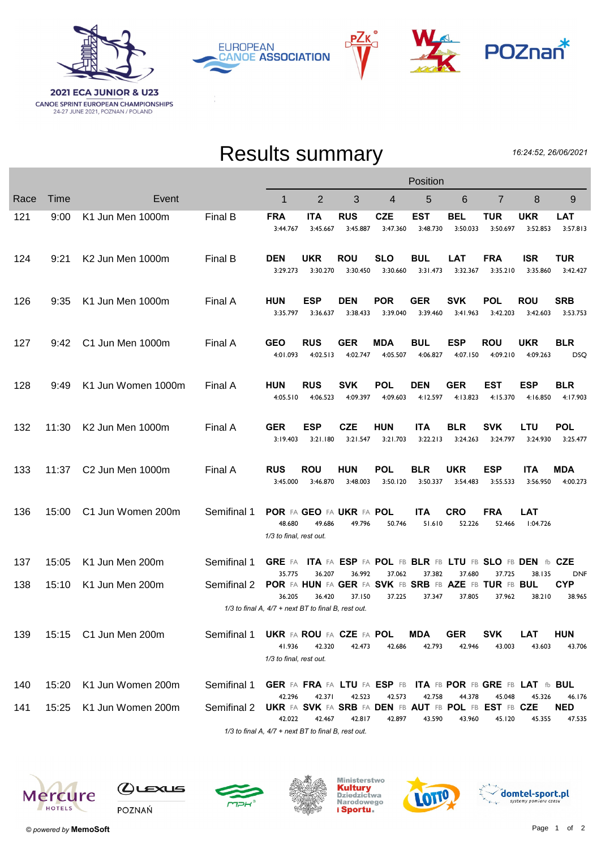

РΖк **EUROPEAN CANOE ASSOCIATION** 





## Results summary

16:24:52, 26/06/2021

|                                                                                                                                               |       |                              |             | Position                                                                 |                                    |                        |                        |                                                             |                        |                        |                        |                                |
|-----------------------------------------------------------------------------------------------------------------------------------------------|-------|------------------------------|-------------|--------------------------------------------------------------------------|------------------------------------|------------------------|------------------------|-------------------------------------------------------------|------------------------|------------------------|------------------------|--------------------------------|
| Race                                                                                                                                          | Time  | Event                        |             | 1                                                                        | $\overline{2}$                     | 3                      | 4                      | 5                                                           | 6                      | 7                      | 8                      | 9                              |
| 121                                                                                                                                           | 9:00  | K1 Jun Men 1000m             | Final B     | <b>FRA</b><br>3:44.767                                                   | <b>ITA</b><br>3:45.667             | <b>RUS</b><br>3:45.887 | <b>CZE</b><br>3:47.360 | <b>EST</b><br>3:48.730                                      | <b>BEL</b><br>3:50.033 | <b>TUR</b><br>3:50.697 | <b>UKR</b><br>3:52.853 | <b>LAT</b><br>3:57.813         |
| 124                                                                                                                                           | 9:21  | K <sub>2</sub> Jun Men 1000m | Final B     | <b>DEN</b><br>3:29.273                                                   | UKR<br>3:30.270                    | <b>ROU</b><br>3:30.450 | <b>SLO</b><br>3:30.660 | <b>BUL</b><br>3:31.473                                      | <b>LAT</b><br>3:32.367 | <b>FRA</b><br>3:35.210 | <b>ISR</b><br>3:35.860 | <b>TUR</b><br>3:42.427         |
| 126                                                                                                                                           | 9:35  | K1 Jun Men 1000m             | Final A     | <b>HUN</b><br>3:35.797                                                   | ESP<br>3:36.637                    | <b>DEN</b><br>3:38.433 | <b>POR</b><br>3:39.040 | <b>GER</b><br>3:39.460                                      | <b>SVK</b><br>3:41.963 | POL<br>3:42.203        | <b>ROU</b><br>3:42.603 | <b>SRB</b><br>3:53.753         |
| 127                                                                                                                                           | 9:42  | C1 Jun Men 1000m             | Final A     | <b>GEO</b><br>4:01.093                                                   | <b>RUS</b><br>4:02.513             | <b>GER</b><br>4:02.747 | MDA<br>4:05.507        | <b>BUL</b><br>4:06.827                                      | <b>ESP</b><br>4:07.150 | <b>ROU</b><br>4:09.210 | <b>UKR</b><br>4:09.263 | <b>BLR</b><br><b>DSQ</b>       |
| 128                                                                                                                                           | 9:49  | K1 Jun Women 1000m           | Final A     | <b>HUN</b><br>4:05.510                                                   | <b>RUS</b><br>4:06.523             | <b>SVK</b><br>4:09.397 | <b>POL</b><br>4:09.603 | <b>DEN</b><br>4:12.597                                      | <b>GER</b><br>4:13.823 | EST<br>4:15.370        | <b>ESP</b><br>4:16.850 | <b>BLR</b><br>4:17.903         |
| 132                                                                                                                                           | 11:30 | K2 Jun Men 1000m             | Final A     | <b>GER</b><br>3:19.403                                                   | ESP<br>3:21.180                    | <b>CZE</b><br>3:21.547 | <b>HUN</b><br>3:21.703 | <b>ITA</b><br>3:22.213                                      | <b>BLR</b><br>3:24.263 | <b>SVK</b><br>3:24.797 | LTU<br>3:24.930        | <b>POL</b><br>3:25.477         |
| 133                                                                                                                                           | 11:37 | C2 Jun Men 1000m             | Final A     | <b>RUS</b><br>3:45.000                                                   | <b>ROU</b><br>3:46.870             | <b>HUN</b><br>3:48.003 | <b>POL</b><br>3:50.120 | <b>BLR</b><br>3:50.337                                      | UKR<br>3:54.483        | <b>ESP</b><br>3:55.533 | <b>ITA</b><br>3:56.950 | MDA<br>4:00.273                |
| 136                                                                                                                                           | 15:00 | C1 Jun Women 200m            | Semifinal 1 | 48.680<br>1/3 to final, rest out.                                        | POR FA GEO FA UKR FA POL<br>49.686 | 49.796                 | 50.746                 | <b>ITA</b><br>51.610                                        | <b>CRO</b><br>52.226   | <b>FRA</b><br>52.466   | LAT<br>1:04.726        |                                |
| 137                                                                                                                                           | 15:05 | K1 Jun Men 200m              | Semifinal 1 | <b>GRE</b> FA                                                            |                                    |                        |                        | ITA FA ESP FA POL FB BLR FB LTU FB SLO FB DEN fb CZE        |                        |                        |                        |                                |
| 138                                                                                                                                           | 15:10 | K1 Jun Men 200m              | Semifinal 2 | 35.775<br>POR FA HUN FA GER FA SVK FB SRB FB AZE FB TUR FB BUL           | 36.207                             | 36.992                 | 37.062                 | 37.382                                                      | 37.680                 | 37.725                 | 38.135                 | <b>DNF</b><br><b>CYP</b>       |
| 36.420<br>38.210<br>36.205<br>37.150<br>37.225<br>37.347<br>37.805<br>37.962<br>38.965<br>1/3 to final A, 4/7 + next BT to final B, rest out. |       |                              |             |                                                                          |                                    |                        |                        |                                                             |                        |                        |                        |                                |
| 139                                                                                                                                           |       | 15:15 C1 Jun Men 200m        | Semifinal 1 | <b>UKR FA ROU FA CZE FA POL</b><br>41.936<br>1/3 to final, rest out.     | 42.320                             | 42.473                 | 42.686                 | MDA<br>42.793                                               | <b>GER</b><br>42.946   | <b>SVK</b><br>43.003   | <b>LAT</b><br>43.603   | <b>HUN</b><br>43.706           |
| 140                                                                                                                                           | 15:20 | K1 Jun Women 200m            | Semifinal 1 |                                                                          |                                    |                        |                        | GER FA FRA FA LTU FA ESP FB ITA FB POR FB GRE FB LAT fb BUL |                        |                        |                        |                                |
| 141                                                                                                                                           | 15:25 | K1 Jun Women 200m            | Semifinal 2 | 42.296<br>UKR FA SVK FA SRB FA DEN FB AUT FB POL FB EST FB CZE<br>42.022 | 42.371<br>42.467                   | 42.523<br>42.817       | 42.573<br>42.897       | 42.758<br>43.590                                            | 44.378<br>43.960       | 45.048<br>45.120       | 45.326<br>45.355       | 46.176<br><b>NED</b><br>47.535 |
|                                                                                                                                               |       |                              |             | 1/3 to final A, 4/7 + next BT to final B, rest out.                      |                                    |                        |                        |                                                             |                        |                        |                        |                                |